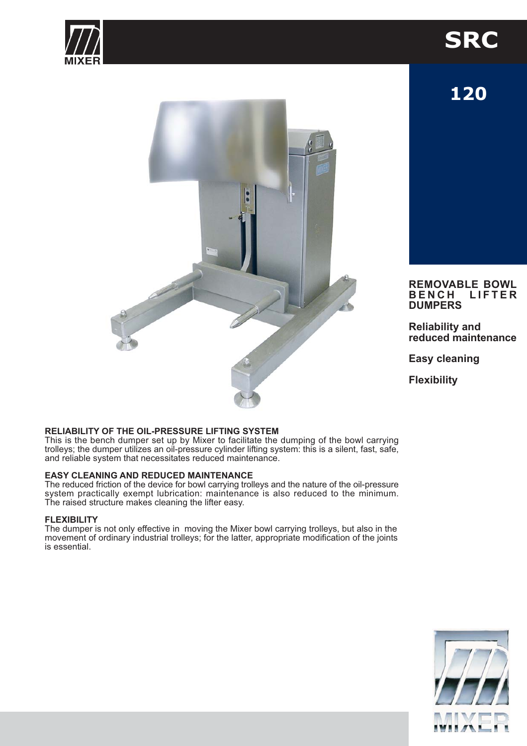

# **SRC**

120



#### **REMOVABLE BOWL BENCH LIFTER DUMPERS**

**Reliability and** reduced maintenance

**Easy cleaning** 

**Flexibility** 

### RELIABILITY OF THE OIL-PRESSURE LIFTING SYSTEM

This is the bench dumper set up by Mixer to facilitate the dumping of the bowl carrying trolleys; the dumper utilizes an oil-pressure cylinder lifting system: this is a silent, fast, safe, and reliable system that necessitates reduced maintenance.

#### **EASY CLEANING AND REDUCED MAINTENANCE**

The reduced friction of the device for bowl carrying trolleys and the nature of the oil-pressure system practically exempt lubrication: maintenance is also reduced to the minimum. The raised structure makes cleaning the lifter easy.

#### **FLEXIBILITY**

The dumper is not only effective in moving the Mixer bowl carrying trolleys, but also in the movement of ordinary industrial trolleys; for the latter, appropriate modification of the joints is essential.